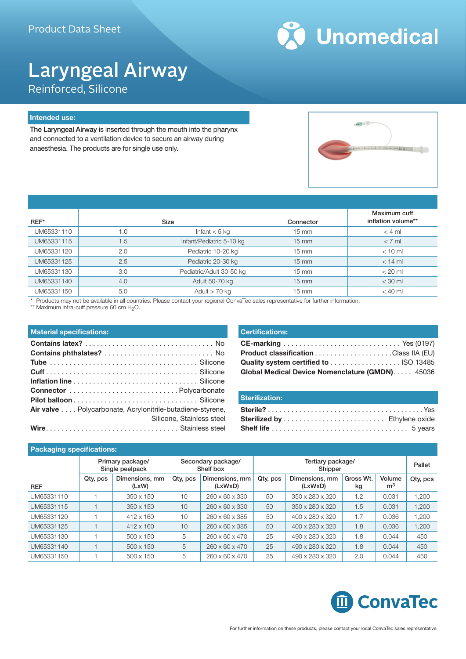

## Laryngeal Airway Reinforced, Silicone

### **Intended use:**

The Laryngeal Airway is inserted through the mouth into the pharynx and connected to a ventilation device to secure an airway during anaesthesia. The products are for single use only.



| $REF^*$    |     | Size                     | Connector         | Maximum cuff<br>inflation volume** |
|------------|-----|--------------------------|-------------------|------------------------------------|
| UM65331110 | 1.0 | Infant $<$ 5 kg          | $15 \text{ mm}$   | $<$ 4 ml                           |
| UM65331115 | 1.5 | Infant/Pediatric 5-10 kg | $15 \text{ mm}$   | $< 7$ ml                           |
| UM65331120 | 2.0 | Pediatric 10-20 kg       | $15 \text{ mm}$   | $< 10$ ml                          |
| UM65331125 | 2.5 | Pediatric 20-30 kg       | $15 \text{ mm}$   | $<$ 14 ml                          |
| UM65331130 | 3.0 | Pediatric/Adult 30-50 kg | $15 \text{ mm}$   | $< 20$ ml                          |
| UM65331140 | 4.0 | Adult 50-70 kg           | $15 \, \text{mm}$ | $<$ 30 ml                          |
| UM65331150 | 5.0 | Adult $>$ 70 kg          | $15 \text{ mm}$   | $< 40$ ml                          |

\* Products may not be available in all countries. Please contact your regional ConvaTec sales representative for further information.

\*\* Maximum intra-cuff pressure 60 cm H<sub>2</sub>O.

| <b>Certifications:</b>                          |  |
|-------------------------------------------------|--|
|                                                 |  |
|                                                 |  |
| Quality system certified to  ISO 13485          |  |
| Global Medical Device Nomenclature (GMDN) 45036 |  |

| Sterilization: |
|----------------|
|                |
|                |
|                |

### **Packaging specifications:**

|            |          | Primary package/<br>Single peelpack | Secondary package/<br>Shelf box |                            | Tertiary package/<br>Shipper |                           |                 | Pallet                   |          |
|------------|----------|-------------------------------------|---------------------------------|----------------------------|------------------------------|---------------------------|-----------------|--------------------------|----------|
| <b>REF</b> | Qty, pcs | Dimensions, mm<br>(LxW)             | Qty, pcs                        | Dimensions, mm<br>(LxWxD)  | Qty, pcs                     | Dimensions, mm<br>(LxWxD) | Gross Wt.<br>kg | Volume<br>m <sup>3</sup> | Qty, pcs |
| UM65331110 |          | $350 \times 150$                    | 10                              | 260 x 60 x 330             | 50                           | 350 x 280 x 320           | 1.2             | 0.031                    | 1.200    |
| UM65331115 |          | $350 \times 150$                    | 10                              | 260 x 60 x 330             | 50                           | 350 x 280 x 320           | 1.5             | 0.031                    | 1,200    |
| UM65331120 |          | $412 \times 160$                    | 10                              | 260 x 60 x 385             | 50                           | 400 x 280 x 320           | 1.7             | 0.036                    | 1,200    |
| UM65331125 |          | $412 \times 160$                    | 10                              | $260 \times 60 \times 385$ | 50                           | 400 x 280 x 320           | 1.8             | 0.036                    | 1,200    |
| UM65331130 |          | $500 \times 150$                    | 5                               | 260 x 60 x 470             | 25                           | 490 x 280 x 320           | 1.8             | 0.044                    | 450      |
| UM65331140 |          | 500 x 150                           | 5                               | $260 \times 60 \times 470$ | 25                           | 490 x 280 x 320           | 1.8             | 0.044                    | 450      |
| UM65331150 |          | 500 x 150                           | 5                               | 260 x 60 x 470             | 25                           | 490 x 280 x 320           | 2.0             | 0.044                    | 450      |